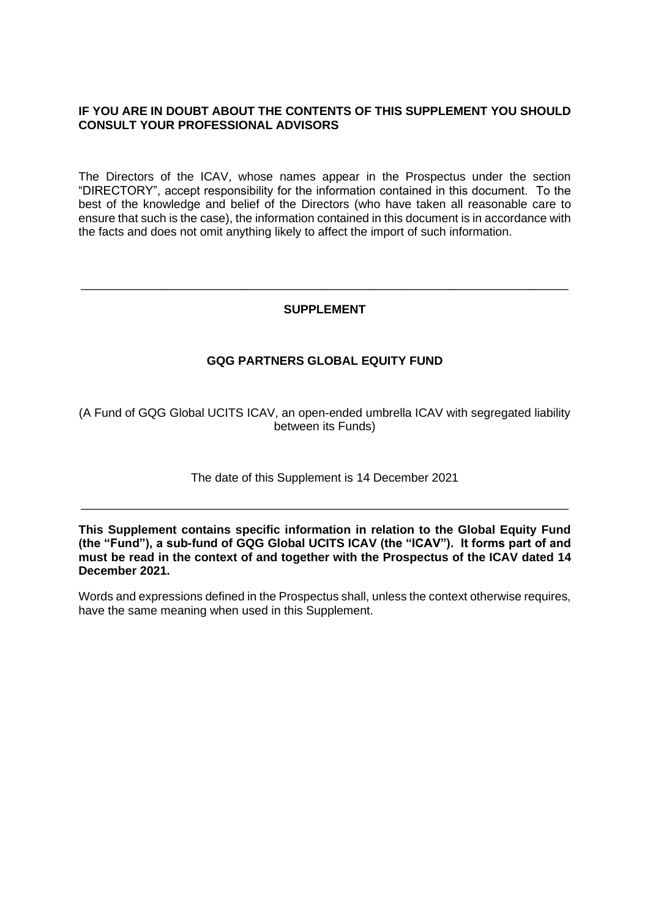# **IF YOU ARE IN DOUBT ABOUT THE CONTENTS OF THIS SUPPLEMENT YOU SHOULD CONSULT YOUR PROFESSIONAL ADVISORS**

The Directors of the ICAV, whose names appear in the Prospectus under the section "DIRECTORY", accept responsibility for the information contained in this document. To the best of the knowledge and belief of the Directors (who have taken all reasonable care to ensure that such is the case), the information contained in this document is in accordance with the facts and does not omit anything likely to affect the import of such information.

# **SUPPLEMENT**

\_\_\_\_\_\_\_\_\_\_\_\_\_\_\_\_\_\_\_\_\_\_\_\_\_\_\_\_\_\_\_\_\_\_\_\_\_\_\_\_\_\_\_\_\_\_\_\_\_\_\_\_\_\_\_\_\_\_\_\_\_\_\_\_\_\_\_\_\_\_\_\_\_

# **GQG PARTNERS GLOBAL EQUITY FUND**

(A Fund of GQG Global UCITS ICAV, an open-ended umbrella ICAV with segregated liability between its Funds)

The date of this Supplement is 14 December 2021

\_\_\_\_\_\_\_\_\_\_\_\_\_\_\_\_\_\_\_\_\_\_\_\_\_\_\_\_\_\_\_\_\_\_\_\_\_\_\_\_\_\_\_\_\_\_\_\_\_\_\_\_\_\_\_\_\_\_\_\_\_\_\_\_\_\_\_\_\_\_\_\_\_

**This Supplement contains specific information in relation to the Global Equity Fund (the "Fund"), a sub-fund of GQG Global UCITS ICAV (the "ICAV"). It forms part of and must be read in the context of and together with the Prospectus of the ICAV dated 14 December 2021.**

Words and expressions defined in the Prospectus shall, unless the context otherwise requires, have the same meaning when used in this Supplement.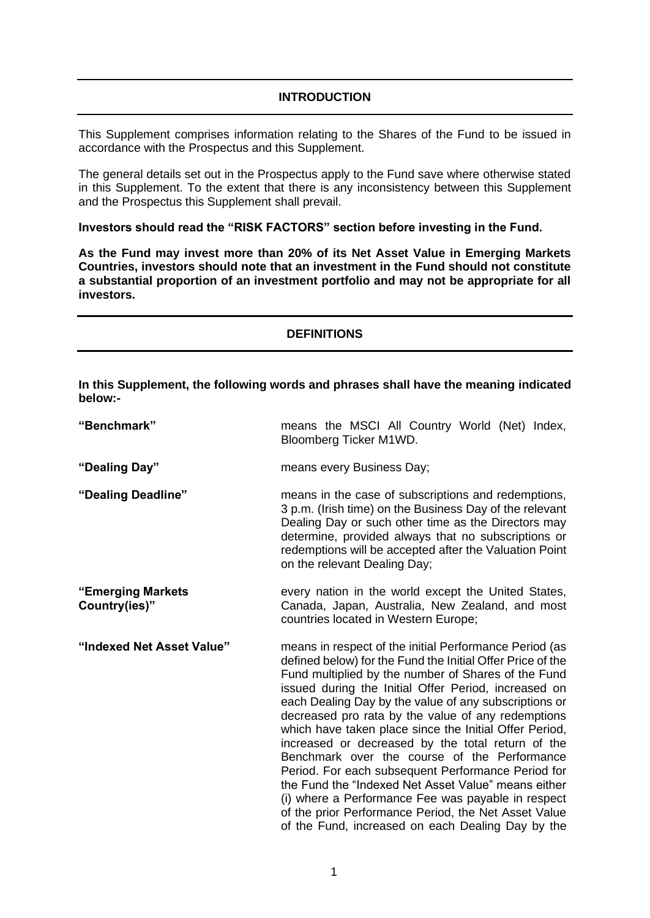# **INTRODUCTION**

This Supplement comprises information relating to the Shares of the Fund to be issued in accordance with the Prospectus and this Supplement.

The general details set out in the Prospectus apply to the Fund save where otherwise stated in this Supplement. To the extent that there is any inconsistency between this Supplement and the Prospectus this Supplement shall prevail.

**Investors should read the "RISK FACTORS" section before investing in the Fund.** 

**As the Fund may invest more than 20% of its Net Asset Value in Emerging Markets Countries, investors should note that an investment in the Fund should not constitute a substantial proportion of an investment portfolio and may not be appropriate for all investors.**

### **DEFINITIONS**

**In this Supplement, the following words and phrases shall have the meaning indicated below:-**

| "Benchmark"                        | means the MSCI All Country World (Net) Index,<br>Bloomberg Ticker M1WD.                                                                                                                                                                                                                                                                                                                                                                                                                                                                                                                                                                                                                                                                                                                           |  |  |  |  |  |  |  |
|------------------------------------|---------------------------------------------------------------------------------------------------------------------------------------------------------------------------------------------------------------------------------------------------------------------------------------------------------------------------------------------------------------------------------------------------------------------------------------------------------------------------------------------------------------------------------------------------------------------------------------------------------------------------------------------------------------------------------------------------------------------------------------------------------------------------------------------------|--|--|--|--|--|--|--|
| "Dealing Day"                      | means every Business Day;                                                                                                                                                                                                                                                                                                                                                                                                                                                                                                                                                                                                                                                                                                                                                                         |  |  |  |  |  |  |  |
| "Dealing Deadline"                 | means in the case of subscriptions and redemptions,<br>3 p.m. (Irish time) on the Business Day of the relevant<br>Dealing Day or such other time as the Directors may<br>determine, provided always that no subscriptions or<br>redemptions will be accepted after the Valuation Point<br>on the relevant Dealing Day;                                                                                                                                                                                                                                                                                                                                                                                                                                                                            |  |  |  |  |  |  |  |
| "Emerging Markets<br>Country(ies)" | every nation in the world except the United States,<br>Canada, Japan, Australia, New Zealand, and most<br>countries located in Western Europe;                                                                                                                                                                                                                                                                                                                                                                                                                                                                                                                                                                                                                                                    |  |  |  |  |  |  |  |
| "Indexed Net Asset Value"          | means in respect of the initial Performance Period (as<br>defined below) for the Fund the Initial Offer Price of the<br>Fund multiplied by the number of Shares of the Fund<br>issued during the Initial Offer Period, increased on<br>each Dealing Day by the value of any subscriptions or<br>decreased pro rata by the value of any redemptions<br>which have taken place since the Initial Offer Period,<br>increased or decreased by the total return of the<br>Benchmark over the course of the Performance<br>Period. For each subsequent Performance Period for<br>the Fund the "Indexed Net Asset Value" means either<br>(i) where a Performance Fee was payable in respect<br>of the prior Performance Period, the Net Asset Value<br>of the Fund, increased on each Dealing Day by the |  |  |  |  |  |  |  |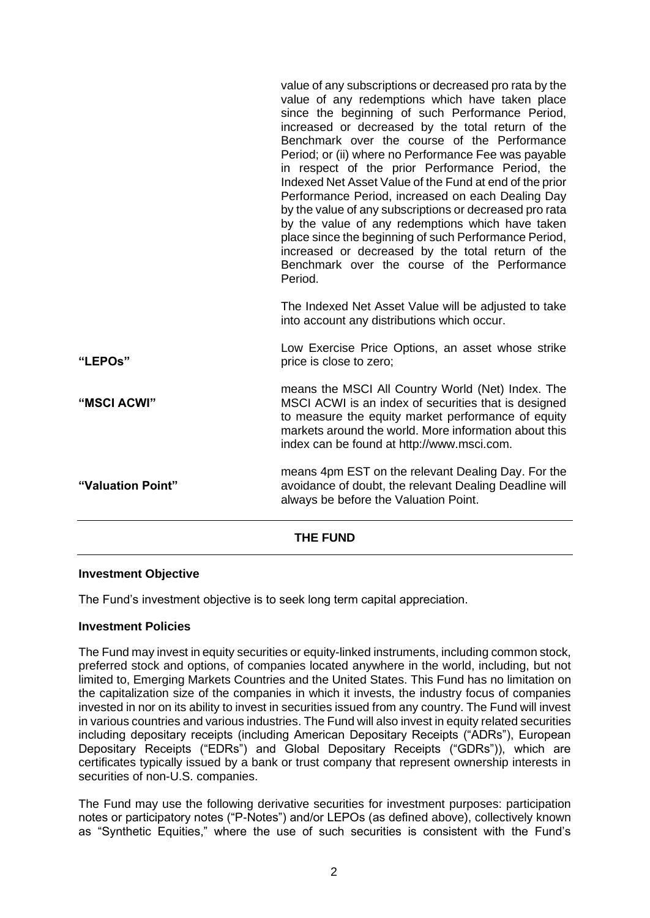#### **Investment Objective**

The Fund's investment objective is to seek long term capital appreciation.

#### **Investment Policies**

The Fund may invest in equity securities or equity-linked instruments, including common stock, preferred stock and options, of companies located anywhere in the world, including, but not limited to, Emerging Markets Countries and the United States. This Fund has no limitation on the capitalization size of the companies in which it invests, the industry focus of companies invested in nor on its ability to invest in securities issued from any country. The Fund will invest in various countries and various industries. The Fund will also invest in equity related securities including depositary receipts (including American Depositary Receipts ("ADRs"), European Depositary Receipts ("EDRs") and Global Depositary Receipts ("GDRs")), which are certificates typically issued by a bank or trust company that represent ownership interests in securities of non-U.S. companies.

The Fund may use the following derivative securities for investment purposes: participation notes or participatory notes ("P-Notes") and/or LEPOs (as defined above), collectively known as "Synthetic Equities," where the use of such securities is consistent with the Fund's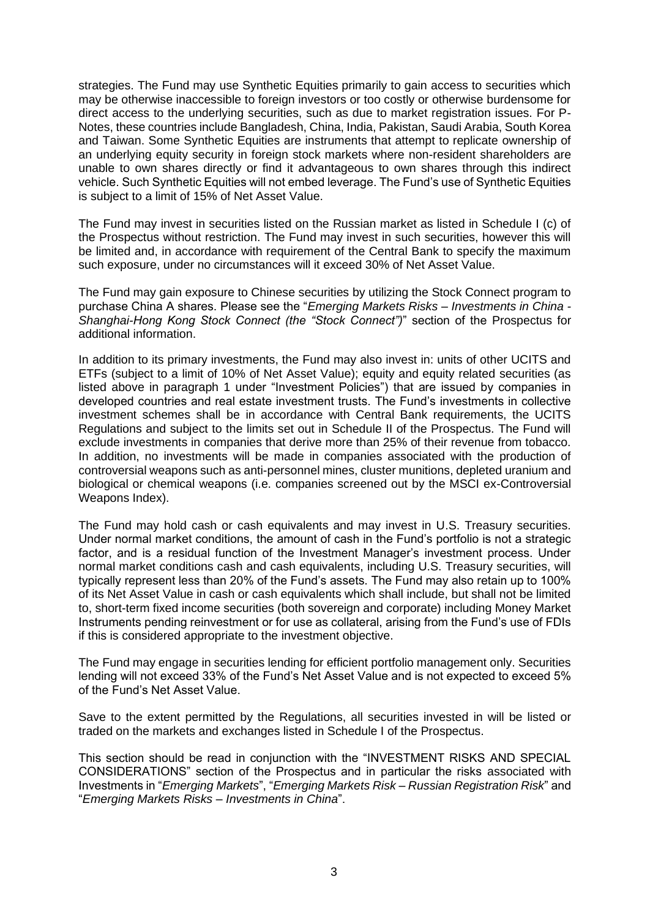strategies. The Fund may use Synthetic Equities primarily to gain access to securities which may be otherwise inaccessible to foreign investors or too costly or otherwise burdensome for direct access to the underlying securities, such as due to market registration issues. For P-Notes, these countries include Bangladesh, China, India, Pakistan, Saudi Arabia, South Korea and Taiwan. Some Synthetic Equities are instruments that attempt to replicate ownership of an underlying equity security in foreign stock markets where non-resident shareholders are unable to own shares directly or find it advantageous to own shares through this indirect vehicle. Such Synthetic Equities will not embed leverage. The Fund's use of Synthetic Equities is subject to a limit of 15% of Net Asset Value.

The Fund may invest in securities listed on the Russian market as listed in Schedule I (c) of the Prospectus without restriction. The Fund may invest in such securities, however this will be limited and, in accordance with requirement of the Central Bank to specify the maximum such exposure, under no circumstances will it exceed 30% of Net Asset Value.

The Fund may gain exposure to Chinese securities by utilizing the Stock Connect program to purchase China A shares. Please see the "*Emerging Markets Risks – Investments in China - Shanghai-Hong Kong Stock Connect (the "Stock Connect")*" section of the Prospectus for additional information.

In addition to its primary investments, the Fund may also invest in: units of other UCITS and ETFs (subject to a limit of 10% of Net Asset Value); equity and equity related securities (as listed above in paragraph 1 under "Investment Policies") that are issued by companies in developed countries and real estate investment trusts. The Fund's investments in collective investment schemes shall be in accordance with Central Bank requirements, the UCITS Regulations and subject to the limits set out in Schedule II of the Prospectus. The Fund will exclude investments in companies that derive more than 25% of their revenue from tobacco. In addition, no investments will be made in companies associated with the production of controversial weapons such as anti-personnel mines, cluster munitions, depleted uranium and biological or chemical weapons (i.e. companies screened out by the MSCI ex-Controversial Weapons Index).

The Fund may hold cash or cash equivalents and may invest in U.S. Treasury securities. Under normal market conditions, the amount of cash in the Fund's portfolio is not a strategic factor, and is a residual function of the Investment Manager's investment process. Under normal market conditions cash and cash equivalents, including U.S. Treasury securities, will typically represent less than 20% of the Fund's assets. The Fund may also retain up to 100% of its Net Asset Value in cash or cash equivalents which shall include, but shall not be limited to, short-term fixed income securities (both sovereign and corporate) including Money Market Instruments pending reinvestment or for use as collateral, arising from the Fund's use of FDIs if this is considered appropriate to the investment objective.

The Fund may engage in securities lending for efficient portfolio management only. Securities lending will not exceed 33% of the Fund's Net Asset Value and is not expected to exceed 5% of the Fund's Net Asset Value.

Save to the extent permitted by the Regulations, all securities invested in will be listed or traded on the markets and exchanges listed in Schedule I of the Prospectus.

This section should be read in conjunction with the "INVESTMENT RISKS AND SPECIAL CONSIDERATIONS" section of the Prospectus and in particular the risks associated with Investments in "*Emerging Markets*", "*Emerging Markets Risk – Russian Registration Risk*" and "*Emerging Markets Risks – Investments in China*".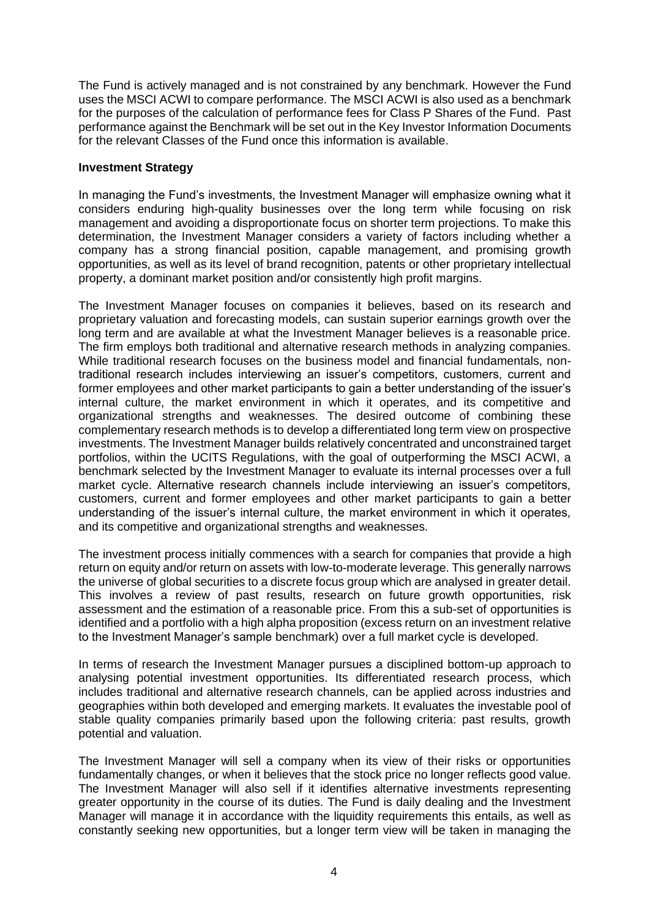The Fund is actively managed and is not constrained by any benchmark. However the Fund uses the MSCI ACWI to compare performance. The MSCI ACWI is also used as a benchmark for the purposes of the calculation of performance fees for Class P Shares of the Fund. Past performance against the Benchmark will be set out in the Key Investor Information Documents for the relevant Classes of the Fund once this information is available.

## **Investment Strategy**

In managing the Fund's investments, the Investment Manager will emphasize owning what it considers enduring high-quality businesses over the long term while focusing on risk management and avoiding a disproportionate focus on shorter term projections. To make this determination, the Investment Manager considers a variety of factors including whether a company has a strong financial position, capable management, and promising growth opportunities, as well as its level of brand recognition, patents or other proprietary intellectual property, a dominant market position and/or consistently high profit margins.

The Investment Manager focuses on companies it believes, based on its research and proprietary valuation and forecasting models, can sustain superior earnings growth over the long term and are available at what the Investment Manager believes is a reasonable price. The firm employs both traditional and alternative research methods in analyzing companies. While traditional research focuses on the business model and financial fundamentals, nontraditional research includes interviewing an issuer's competitors, customers, current and former employees and other market participants to gain a better understanding of the issuer's internal culture, the market environment in which it operates, and its competitive and organizational strengths and weaknesses. The desired outcome of combining these complementary research methods is to develop a differentiated long term view on prospective investments. The Investment Manager builds relatively concentrated and unconstrained target portfolios, within the UCITS Regulations, with the goal of outperforming the MSCI ACWI, a benchmark selected by the Investment Manager to evaluate its internal processes over a full market cycle. Alternative research channels include interviewing an issuer's competitors, customers, current and former employees and other market participants to gain a better understanding of the issuer's internal culture, the market environment in which it operates, and its competitive and organizational strengths and weaknesses.

The investment process initially commences with a search for companies that provide a high return on equity and/or return on assets with low-to-moderate leverage. This generally narrows the universe of global securities to a discrete focus group which are analysed in greater detail. This involves a review of past results, research on future growth opportunities, risk assessment and the estimation of a reasonable price. From this a sub-set of opportunities is identified and a portfolio with a high alpha proposition (excess return on an investment relative to the Investment Manager's sample benchmark) over a full market cycle is developed.

In terms of research the Investment Manager pursues a disciplined bottom-up approach to analysing potential investment opportunities. Its differentiated research process, which includes traditional and alternative research channels, can be applied across industries and geographies within both developed and emerging markets. It evaluates the investable pool of stable quality companies primarily based upon the following criteria: past results, growth potential and valuation.

The Investment Manager will sell a company when its view of their risks or opportunities fundamentally changes, or when it believes that the stock price no longer reflects good value. The Investment Manager will also sell if it identifies alternative investments representing greater opportunity in the course of its duties. The Fund is daily dealing and the Investment Manager will manage it in accordance with the liquidity requirements this entails, as well as constantly seeking new opportunities, but a longer term view will be taken in managing the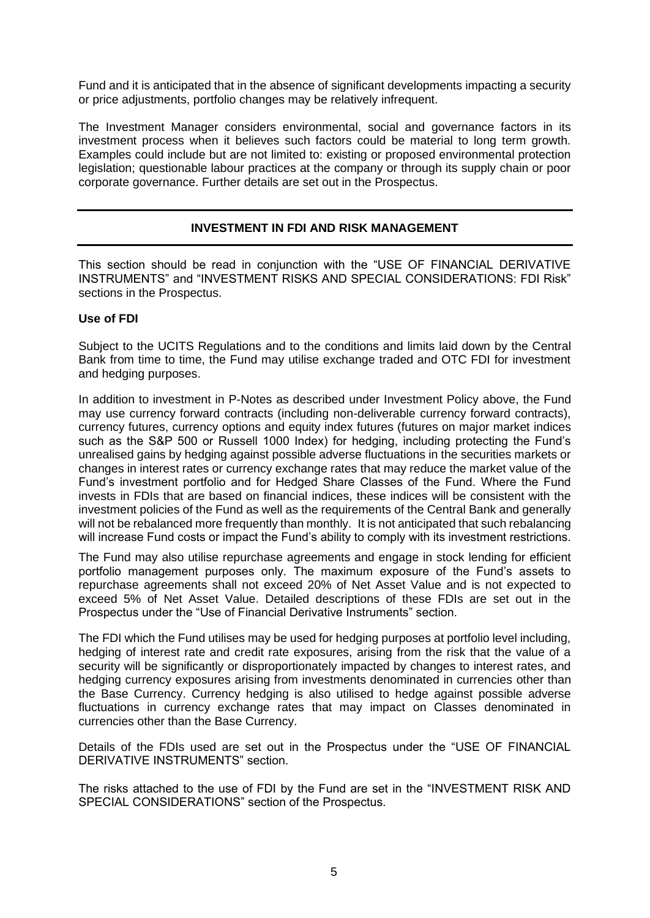Fund and it is anticipated that in the absence of significant developments impacting a security or price adjustments, portfolio changes may be relatively infrequent.

The Investment Manager considers environmental, social and governance factors in its investment process when it believes such factors could be material to long term growth. Examples could include but are not limited to: existing or proposed environmental protection legislation; questionable labour practices at the company or through its supply chain or poor corporate governance. Further details are set out in the Prospectus.

# **INVESTMENT IN FDI AND RISK MANAGEMENT**

This section should be read in conjunction with the "USE OF FINANCIAL DERIVATIVE INSTRUMENTS" and "INVESTMENT RISKS AND SPECIAL CONSIDERATIONS: FDI Risk" sections in the Prospectus.

# **Use of FDI**

Subject to the UCITS Regulations and to the conditions and limits laid down by the Central Bank from time to time, the Fund may utilise exchange traded and OTC FDI for investment and hedging purposes.

In addition to investment in P-Notes as described under Investment Policy above, the Fund may use currency forward contracts (including non-deliverable currency forward contracts), currency futures, currency options and equity index futures (futures on major market indices such as the S&P 500 or Russell 1000 Index) for hedging, including protecting the Fund's unrealised gains by hedging against possible adverse fluctuations in the securities markets or changes in interest rates or currency exchange rates that may reduce the market value of the Fund's investment portfolio and for Hedged Share Classes of the Fund. Where the Fund invests in FDIs that are based on financial indices, these indices will be consistent with the investment policies of the Fund as well as the requirements of the Central Bank and generally will not be rebalanced more frequently than monthly. It is not anticipated that such rebalancing will increase Fund costs or impact the Fund's ability to comply with its investment restrictions.

The Fund may also utilise repurchase agreements and engage in stock lending for efficient portfolio management purposes only. The maximum exposure of the Fund's assets to repurchase agreements shall not exceed 20% of Net Asset Value and is not expected to exceed 5% of Net Asset Value. Detailed descriptions of these FDIs are set out in the Prospectus under the "Use of Financial Derivative Instruments" section.

The FDI which the Fund utilises may be used for hedging purposes at portfolio level including, hedging of interest rate and credit rate exposures, arising from the risk that the value of a security will be significantly or disproportionately impacted by changes to interest rates, and hedging currency exposures arising from investments denominated in currencies other than the Base Currency. Currency hedging is also utilised to hedge against possible adverse fluctuations in currency exchange rates that may impact on Classes denominated in currencies other than the Base Currency.

Details of the FDIs used are set out in the Prospectus under the "USE OF FINANCIAL DERIVATIVE INSTRUMENTS" section.

The risks attached to the use of FDI by the Fund are set in the "INVESTMENT RISK AND SPECIAL CONSIDERATIONS" section of the Prospectus.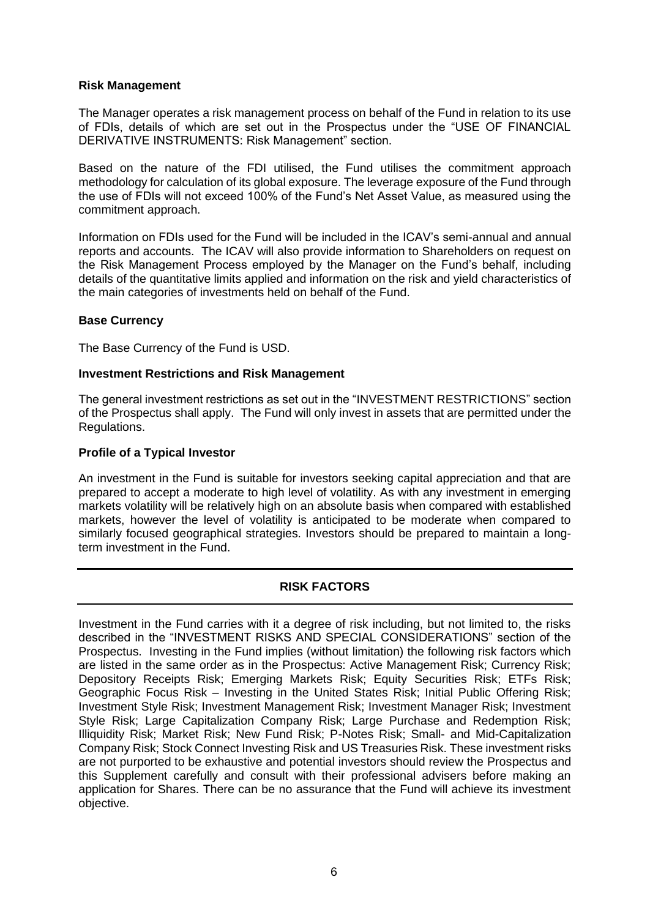#### **Risk Management**

The Manager operates a risk management process on behalf of the Fund in relation to its use of FDIs, details of which are set out in the Prospectus under the "USE OF FINANCIAL DERIVATIVE INSTRUMENTS: Risk Management" section.

Based on the nature of the FDI utilised, the Fund utilises the commitment approach methodology for calculation of its global exposure. The leverage exposure of the Fund through the use of FDIs will not exceed 100% of the Fund's Net Asset Value, as measured using the commitment approach.

Information on FDIs used for the Fund will be included in the ICAV's semi-annual and annual reports and accounts. The ICAV will also provide information to Shareholders on request on the Risk Management Process employed by the Manager on the Fund's behalf, including details of the quantitative limits applied and information on the risk and yield characteristics of the main categories of investments held on behalf of the Fund.

## **Base Currency**

The Base Currency of the Fund is USD.

## **Investment Restrictions and Risk Management**

The general investment restrictions as set out in the "INVESTMENT RESTRICTIONS" section of the Prospectus shall apply. The Fund will only invest in assets that are permitted under the Regulations.

## **Profile of a Typical Investor**

An investment in the Fund is suitable for investors seeking capital appreciation and that are prepared to accept a moderate to high level of volatility. As with any investment in emerging markets volatility will be relatively high on an absolute basis when compared with established markets, however the level of volatility is anticipated to be moderate when compared to similarly focused geographical strategies. Investors should be prepared to maintain a longterm investment in the Fund.

# **RISK FACTORS**

Investment in the Fund carries with it a degree of risk including, but not limited to, the risks described in the "INVESTMENT RISKS AND SPECIAL CONSIDERATIONS" section of the Prospectus. Investing in the Fund implies (without limitation) the following risk factors which are listed in the same order as in the Prospectus: Active Management Risk; Currency Risk; Depository Receipts Risk; Emerging Markets Risk; Equity Securities Risk; ETFs Risk; Geographic Focus Risk – Investing in the United States Risk; Initial Public Offering Risk; Investment Style Risk; Investment Management Risk; Investment Manager Risk; Investment Style Risk; Large Capitalization Company Risk; Large Purchase and Redemption Risk; Illiquidity Risk; Market Risk; New Fund Risk; P-Notes Risk; Small- and Mid-Capitalization Company Risk; Stock Connect Investing Risk and US Treasuries Risk. These investment risks are not purported to be exhaustive and potential investors should review the Prospectus and this Supplement carefully and consult with their professional advisers before making an application for Shares. There can be no assurance that the Fund will achieve its investment objective.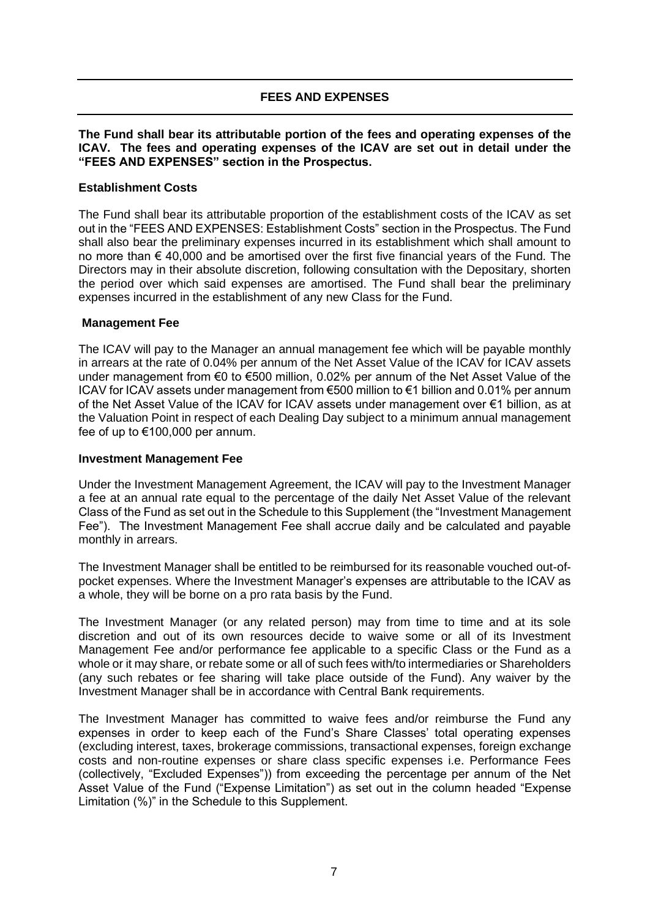# **FEES AND EXPENSES**

## **The Fund shall bear its attributable portion of the fees and operating expenses of the ICAV. The fees and operating expenses of the ICAV are set out in detail under the "FEES AND EXPENSES" section in the Prospectus.**

# **Establishment Costs**

The Fund shall bear its attributable proportion of the establishment costs of the ICAV as set out in the "FEES AND EXPENSES: Establishment Costs" section in the Prospectus. The Fund shall also bear the preliminary expenses incurred in its establishment which shall amount to no more than € 40,000 and be amortised over the first five financial years of the Fund. The Directors may in their absolute discretion, following consultation with the Depositary, shorten the period over which said expenses are amortised. The Fund shall bear the preliminary expenses incurred in the establishment of any new Class for the Fund.

# **Management Fee**

The ICAV will pay to the Manager an annual management fee which will be payable monthly in arrears at the rate of 0.04% per annum of the Net Asset Value of the ICAV for ICAV assets under management from €0 to €500 million, 0.02% per annum of the Net Asset Value of the ICAV for ICAV assets under management from €500 million to €1 billion and 0.01% per annum of the Net Asset Value of the ICAV for ICAV assets under management over €1 billion, as at the Valuation Point in respect of each Dealing Day subject to a minimum annual management fee of up to €100,000 per annum.

## **Investment Management Fee**

Under the Investment Management Agreement, the ICAV will pay to the Investment Manager a fee at an annual rate equal to the percentage of the daily Net Asset Value of the relevant Class of the Fund as set out in the Schedule to this Supplement (the "Investment Management Fee"). The Investment Management Fee shall accrue daily and be calculated and payable monthly in arrears.

The Investment Manager shall be entitled to be reimbursed for its reasonable vouched out-ofpocket expenses. Where the Investment Manager's expenses are attributable to the ICAV as a whole, they will be borne on a pro rata basis by the Fund.

The Investment Manager (or any related person) may from time to time and at its sole discretion and out of its own resources decide to waive some or all of its Investment Management Fee and/or performance fee applicable to a specific Class or the Fund as a whole or it may share, or rebate some or all of such fees with/to intermediaries or Shareholders (any such rebates or fee sharing will take place outside of the Fund). Any waiver by the Investment Manager shall be in accordance with Central Bank requirements.

The Investment Manager has committed to waive fees and/or reimburse the Fund any expenses in order to keep each of the Fund's Share Classes' total operating expenses (excluding interest, taxes, brokerage commissions, transactional expenses, foreign exchange costs and non-routine expenses or share class specific expenses i.e. Performance Fees (collectively, "Excluded Expenses")) from exceeding the percentage per annum of the Net Asset Value of the Fund ("Expense Limitation") as set out in the column headed "Expense Limitation (%)" in the Schedule to this Supplement.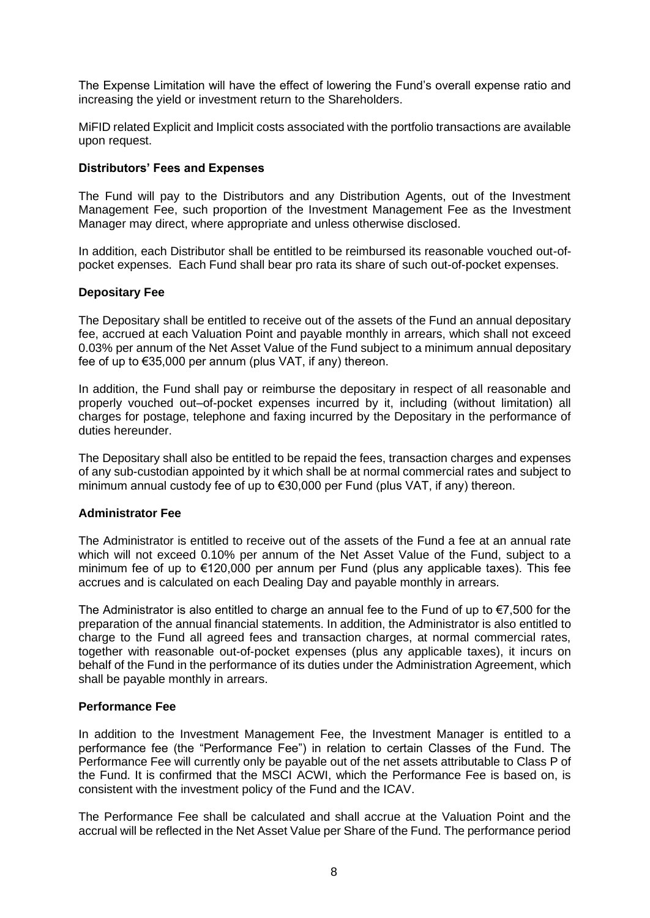The Expense Limitation will have the effect of lowering the Fund's overall expense ratio and increasing the yield or investment return to the Shareholders.

MiFID related Explicit and Implicit costs associated with the portfolio transactions are available upon request.

## **Distributors' Fees and Expenses**

The Fund will pay to the Distributors and any Distribution Agents, out of the Investment Management Fee, such proportion of the Investment Management Fee as the Investment Manager may direct, where appropriate and unless otherwise disclosed.

In addition, each Distributor shall be entitled to be reimbursed its reasonable vouched out-ofpocket expenses. Each Fund shall bear pro rata its share of such out-of-pocket expenses.

#### **Depositary Fee**

The Depositary shall be entitled to receive out of the assets of the Fund an annual depositary fee, accrued at each Valuation Point and payable monthly in arrears, which shall not exceed 0.03% per annum of the Net Asset Value of the Fund subject to a minimum annual depositary fee of up to €35,000 per annum (plus VAT, if any) thereon.

In addition, the Fund shall pay or reimburse the depositary in respect of all reasonable and properly vouched out–of-pocket expenses incurred by it, including (without limitation) all charges for postage, telephone and faxing incurred by the Depositary in the performance of duties hereunder.

The Depositary shall also be entitled to be repaid the fees, transaction charges and expenses of any sub-custodian appointed by it which shall be at normal commercial rates and subject to minimum annual custody fee of up to €30,000 per Fund (plus VAT, if any) thereon.

#### **Administrator Fee**

The Administrator is entitled to receive out of the assets of the Fund a fee at an annual rate which will not exceed 0.10% per annum of the Net Asset Value of the Fund, subject to a minimum fee of up to €120,000 per annum per Fund (plus any applicable taxes). This fee accrues and is calculated on each Dealing Day and payable monthly in arrears.

The Administrator is also entitled to charge an annual fee to the Fund of up to  $\epsilon$ 7,500 for the preparation of the annual financial statements. In addition, the Administrator is also entitled to charge to the Fund all agreed fees and transaction charges, at normal commercial rates, together with reasonable out-of-pocket expenses (plus any applicable taxes), it incurs on behalf of the Fund in the performance of its duties under the Administration Agreement, which shall be payable monthly in arrears.

#### **Performance Fee**

In addition to the Investment Management Fee, the Investment Manager is entitled to a performance fee (the "Performance Fee") in relation to certain Classes of the Fund. The Performance Fee will currently only be payable out of the net assets attributable to Class P of the Fund. It is confirmed that the MSCI ACWI, which the Performance Fee is based on, is consistent with the investment policy of the Fund and the ICAV.

The Performance Fee shall be calculated and shall accrue at the Valuation Point and the accrual will be reflected in the Net Asset Value per Share of the Fund. The performance period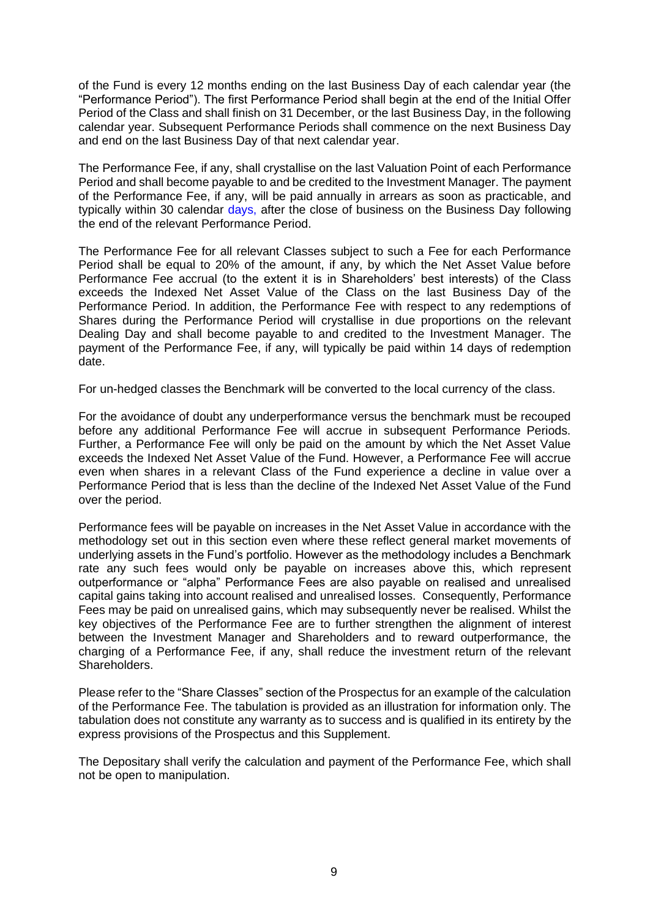of the Fund is every 12 months ending on the last Business Day of each calendar year (the "Performance Period"). The first Performance Period shall begin at the end of the Initial Offer Period of the Class and shall finish on 31 December, or the last Business Day, in the following calendar year. Subsequent Performance Periods shall commence on the next Business Day and end on the last Business Day of that next calendar year.

The Performance Fee, if any, shall crystallise on the last Valuation Point of each Performance Period and shall become payable to and be credited to the Investment Manager. The payment of the Performance Fee, if any, will be paid annually in arrears as soon as practicable, and typically within 30 calendar days, after the close of business on the Business Day following the end of the relevant Performance Period.

The Performance Fee for all relevant Classes subject to such a Fee for each Performance Period shall be equal to 20% of the amount, if any, by which the Net Asset Value before Performance Fee accrual (to the extent it is in Shareholders' best interests) of the Class exceeds the Indexed Net Asset Value of the Class on the last Business Day of the Performance Period. In addition, the Performance Fee with respect to any redemptions of Shares during the Performance Period will crystallise in due proportions on the relevant Dealing Day and shall become payable to and credited to the Investment Manager. The payment of the Performance Fee, if any, will typically be paid within 14 days of redemption date.

For un-hedged classes the Benchmark will be converted to the local currency of the class.

For the avoidance of doubt any underperformance versus the benchmark must be recouped before any additional Performance Fee will accrue in subsequent Performance Periods. Further, a Performance Fee will only be paid on the amount by which the Net Asset Value exceeds the Indexed Net Asset Value of the Fund. However, a Performance Fee will accrue even when shares in a relevant Class of the Fund experience a decline in value over a Performance Period that is less than the decline of the Indexed Net Asset Value of the Fund over the period.

Performance fees will be payable on increases in the Net Asset Value in accordance with the methodology set out in this section even where these reflect general market movements of underlying assets in the Fund's portfolio. However as the methodology includes a Benchmark rate any such fees would only be payable on increases above this, which represent outperformance or "alpha" Performance Fees are also payable on realised and unrealised capital gains taking into account realised and unrealised losses. Consequently, Performance Fees may be paid on unrealised gains, which may subsequently never be realised. Whilst the key objectives of the Performance Fee are to further strengthen the alignment of interest between the Investment Manager and Shareholders and to reward outperformance, the charging of a Performance Fee, if any, shall reduce the investment return of the relevant Shareholders.

Please refer to the "Share Classes" section of the Prospectus for an example of the calculation of the Performance Fee. The tabulation is provided as an illustration for information only. The tabulation does not constitute any warranty as to success and is qualified in its entirety by the express provisions of the Prospectus and this Supplement.

The Depositary shall verify the calculation and payment of the Performance Fee, which shall not be open to manipulation.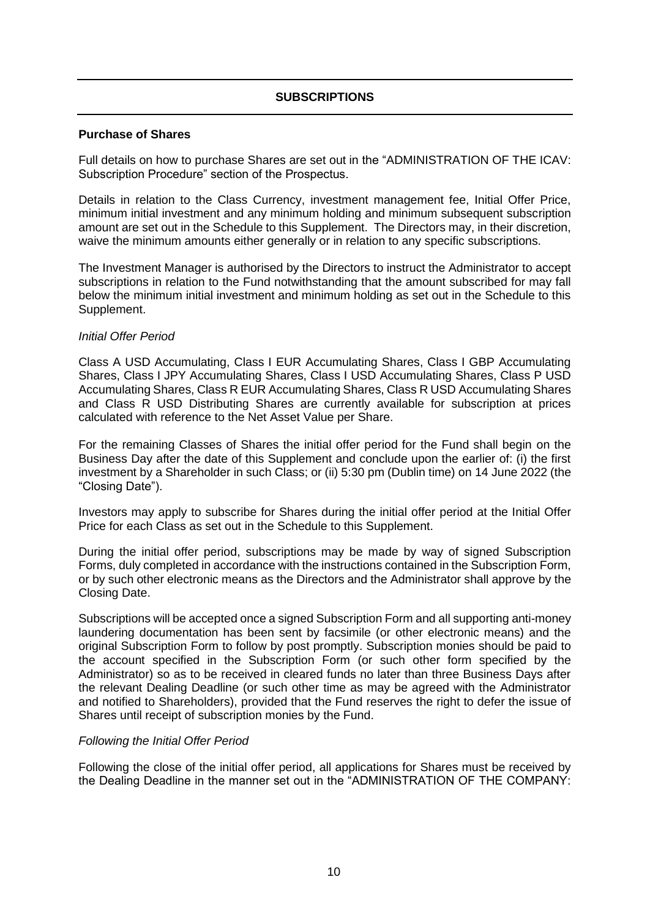# **SUBSCRIPTIONS**

#### **Purchase of Shares**

Full details on how to purchase Shares are set out in the "ADMINISTRATION OF THE ICAV: Subscription Procedure" section of the Prospectus.

Details in relation to the Class Currency, investment management fee, Initial Offer Price, minimum initial investment and any minimum holding and minimum subsequent subscription amount are set out in the Schedule to this Supplement. The Directors may, in their discretion, waive the minimum amounts either generally or in relation to any specific subscriptions.

The Investment Manager is authorised by the Directors to instruct the Administrator to accept subscriptions in relation to the Fund notwithstanding that the amount subscribed for may fall below the minimum initial investment and minimum holding as set out in the Schedule to this Supplement.

## *Initial Offer Period*

Class A USD Accumulating, Class I EUR Accumulating Shares, Class I GBP Accumulating Shares, Class I JPY Accumulating Shares, Class I USD Accumulating Shares, Class P USD Accumulating Shares, Class R EUR Accumulating Shares, Class R USD Accumulating Shares and Class R USD Distributing Shares are currently available for subscription at prices calculated with reference to the Net Asset Value per Share.

For the remaining Classes of Shares the initial offer period for the Fund shall begin on the Business Day after the date of this Supplement and conclude upon the earlier of: (i) the first investment by a Shareholder in such Class; or (ii) 5:30 pm (Dublin time) on 14 June 2022 (the "Closing Date").

Investors may apply to subscribe for Shares during the initial offer period at the Initial Offer Price for each Class as set out in the Schedule to this Supplement.

During the initial offer period, subscriptions may be made by way of signed Subscription Forms, duly completed in accordance with the instructions contained in the Subscription Form, or by such other electronic means as the Directors and the Administrator shall approve by the Closing Date.

Subscriptions will be accepted once a signed Subscription Form and all supporting anti-money laundering documentation has been sent by facsimile (or other electronic means) and the original Subscription Form to follow by post promptly. Subscription monies should be paid to the account specified in the Subscription Form (or such other form specified by the Administrator) so as to be received in cleared funds no later than three Business Days after the relevant Dealing Deadline (or such other time as may be agreed with the Administrator and notified to Shareholders), provided that the Fund reserves the right to defer the issue of Shares until receipt of subscription monies by the Fund.

#### *Following the Initial Offer Period*

Following the close of the initial offer period, all applications for Shares must be received by the Dealing Deadline in the manner set out in the "ADMINISTRATION OF THE COMPANY: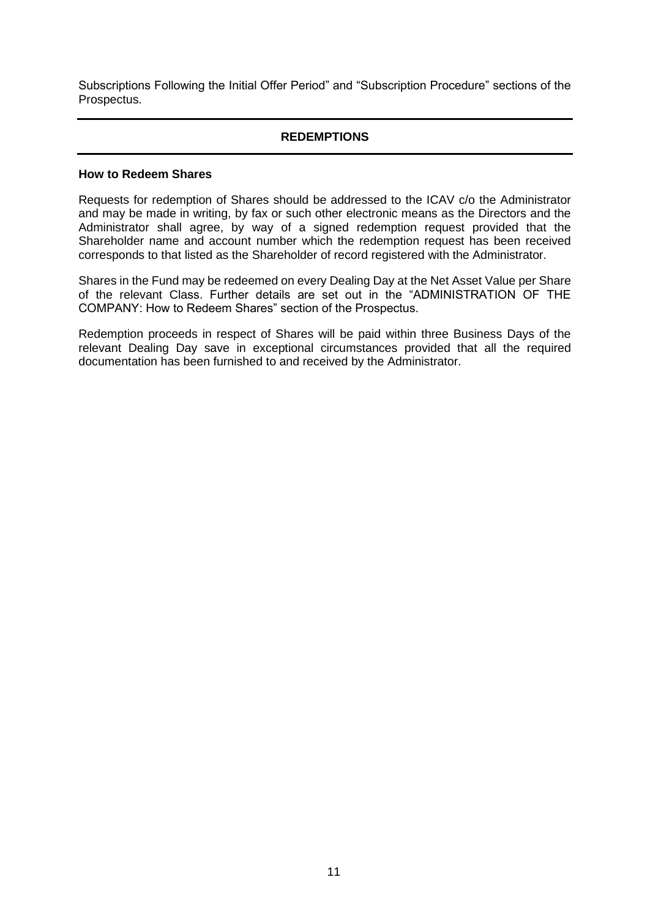Subscriptions Following the Initial Offer Period" and "Subscription Procedure" sections of the Prospectus.

# **REDEMPTIONS**

#### **How to Redeem Shares**

Requests for redemption of Shares should be addressed to the ICAV c/o the Administrator and may be made in writing, by fax or such other electronic means as the Directors and the Administrator shall agree, by way of a signed redemption request provided that the Shareholder name and account number which the redemption request has been received corresponds to that listed as the Shareholder of record registered with the Administrator.

Shares in the Fund may be redeemed on every Dealing Day at the Net Asset Value per Share of the relevant Class. Further details are set out in the "ADMINISTRATION OF THE COMPANY: How to Redeem Shares" section of the Prospectus.

Redemption proceeds in respect of Shares will be paid within three Business Days of the relevant Dealing Day save in exceptional circumstances provided that all the required documentation has been furnished to and received by the Administrator.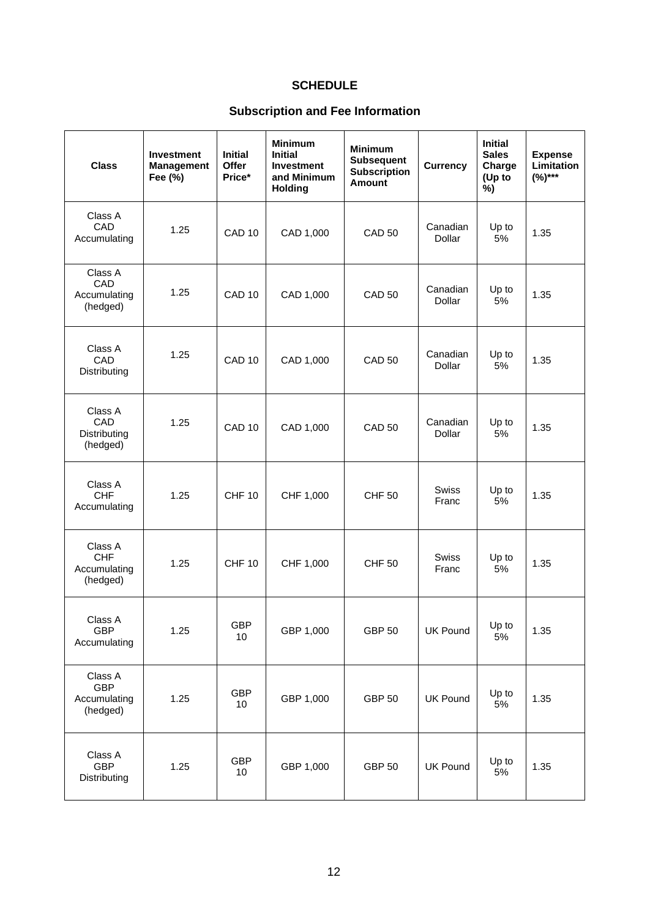# **SCHEDULE**

# **Subscription and Fee Information**

| <b>Class</b>                                      | <b>Investment</b><br><b>Management</b><br>Fee (%) | <b>Initial</b><br><b>Offer</b><br>Price* | <b>Minimum</b><br><b>Initial</b><br><b>Investment</b><br>and Minimum<br><b>Holding</b> | <b>Minimum</b><br><b>Subsequent</b><br><b>Subscription</b><br><b>Amount</b> | <b>Currency</b>           | <b>Initial</b><br><b>Sales</b><br>Charge<br>(Up to<br>%) | <b>Expense</b><br>Limitation<br>$(%)***$ |
|---------------------------------------------------|---------------------------------------------------|------------------------------------------|----------------------------------------------------------------------------------------|-----------------------------------------------------------------------------|---------------------------|----------------------------------------------------------|------------------------------------------|
| Class A<br>CAD<br>Accumulating                    | 1.25                                              | CAD <sub>10</sub>                        | CAD 1,000                                                                              | <b>CAD 50</b>                                                               | Canadian<br>Dollar        | Up to<br>5%                                              | 1.35                                     |
| Class A<br>CAD<br>Accumulating<br>(hedged)        | 1.25                                              | CAD <sub>10</sub>                        | CAD 1,000                                                                              | <b>CAD 50</b>                                                               | Canadian<br>Dollar        | Up to<br>5%                                              | 1.35                                     |
| Class A<br>CAD<br>Distributing                    | 1.25                                              | CAD <sub>10</sub>                        | CAD 1,000                                                                              | <b>CAD 50</b>                                                               | Canadian<br><b>Dollar</b> | Up to<br>5%                                              | 1.35                                     |
| Class A<br>CAD<br>Distributing<br>(hedged)        | 1.25                                              | CAD <sub>10</sub>                        | CAD 1,000                                                                              | <b>CAD 50</b>                                                               | Canadian<br>Dollar        | Up to<br>5%                                              | 1.35                                     |
| Class A<br><b>CHF</b><br>Accumulating             | 1.25                                              | <b>CHF 10</b>                            | CHF 1,000                                                                              | <b>CHF 50</b>                                                               | <b>Swiss</b><br>Franc     | Up to<br>5%                                              | 1.35                                     |
| Class A<br><b>CHF</b><br>Accumulating<br>(hedged) | 1.25                                              | <b>CHF 10</b>                            | CHF 1,000                                                                              | <b>CHF 50</b>                                                               | <b>Swiss</b><br>Franc     | Up to<br>5%                                              | 1.35                                     |
| Class A<br><b>GBP</b><br>Accumulating             | 1.25                                              | <b>GBP</b><br>10                         | GBP 1,000                                                                              | <b>GBP 50</b>                                                               | <b>UK Pound</b>           | Up to<br>5%                                              | 1.35                                     |
| Class A<br><b>GBP</b><br>Accumulating<br>(hedged) | 1.25                                              | <b>GBP</b><br>10                         | GBP 1,000                                                                              | <b>GBP 50</b>                                                               | <b>UK Pound</b>           | Up to<br>5%                                              | 1.35                                     |
| Class A<br><b>GBP</b><br>Distributing             | 1.25                                              | <b>GBP</b><br>10                         | GBP 1,000                                                                              | <b>GBP 50</b>                                                               | <b>UK Pound</b>           | Up to<br>5%                                              | 1.35                                     |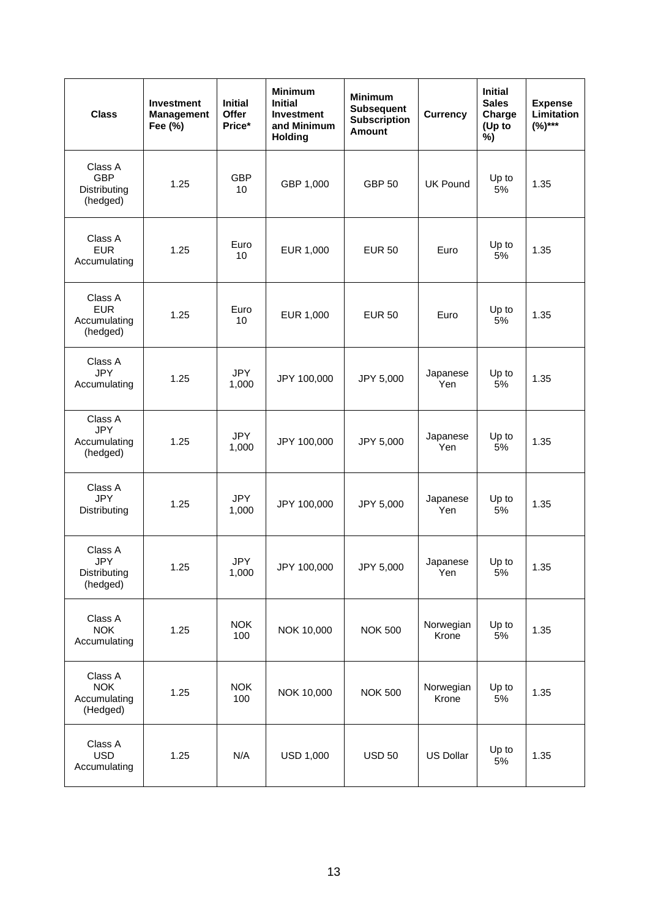| <b>Class</b>                                      | <b>Investment</b><br><b>Management</b><br>Fee (%) | <b>Initial</b><br>Offer<br>Price* | <b>Minimum</b><br><b>Initial</b><br><b>Investment</b><br>and Minimum<br><b>Holding</b> | <b>Minimum</b><br><b>Subsequent</b><br><b>Subscription</b><br><b>Amount</b> | Currency           | <b>Initial</b><br><b>Sales</b><br>Charge<br>(Up to<br>%) | <b>Expense</b><br>Limitation<br>$(%)***$ |
|---------------------------------------------------|---------------------------------------------------|-----------------------------------|----------------------------------------------------------------------------------------|-----------------------------------------------------------------------------|--------------------|----------------------------------------------------------|------------------------------------------|
| Class A<br><b>GBP</b><br>Distributing<br>(hedged) | 1.25                                              | <b>GBP</b><br>10                  | GBP 1,000                                                                              | <b>GBP 50</b>                                                               | <b>UK Pound</b>    | Up to<br>5%                                              | 1.35                                     |
| Class A<br><b>EUR</b><br>Accumulating             | 1.25                                              | Euro<br>10                        | EUR 1,000                                                                              | <b>EUR 50</b>                                                               | Euro               | Up to<br>5%                                              | 1.35                                     |
| Class A<br><b>EUR</b><br>Accumulating<br>(hedged) | 1.25                                              | Euro<br>10                        | EUR 1,000                                                                              | <b>EUR 50</b>                                                               | Euro               | Up to<br>5%                                              | 1.35                                     |
| Class A<br><b>JPY</b><br>Accumulating             | 1.25                                              | <b>JPY</b><br>1,000               | JPY 100,000                                                                            | JPY 5,000                                                                   | Japanese<br>Yen    | Up to<br>5%                                              | 1.35                                     |
| Class A<br><b>JPY</b><br>Accumulating<br>(hedged) | 1.25                                              | <b>JPY</b><br>1,000               | JPY 100,000                                                                            | JPY 5,000                                                                   | Japanese<br>Yen    | Up to<br>5%                                              | 1.35                                     |
| Class A<br><b>JPY</b><br>Distributing             | 1.25                                              | <b>JPY</b><br>1,000               | JPY 100,000                                                                            | JPY 5,000                                                                   | Japanese<br>Yen    | Up to<br>5%                                              | 1.35                                     |
| Class A<br><b>JPY</b><br>Distributing<br>(hedged) | 1.25                                              | <b>JPY</b><br>1,000               | JPY 100,000                                                                            | JPY 5,000                                                                   | Japanese<br>Yen    | Up to<br>5%                                              | 1.35                                     |
| Class A<br><b>NOK</b><br>Accumulating             | 1.25                                              | <b>NOK</b><br>100                 | NOK 10,000                                                                             | <b>NOK 500</b>                                                              | Norwegian<br>Krone | Up to<br>5%                                              | 1.35                                     |
| Class A<br><b>NOK</b><br>Accumulating<br>(Hedged) | 1.25                                              | <b>NOK</b><br>100                 | NOK 10,000                                                                             | <b>NOK 500</b>                                                              | Norwegian<br>Krone | Up to<br>5%                                              | 1.35                                     |
| Class A<br><b>USD</b><br>Accumulating             | 1.25                                              | N/A                               | <b>USD 1,000</b>                                                                       | <b>USD 50</b>                                                               | <b>US Dollar</b>   | Up to<br>5%                                              | 1.35                                     |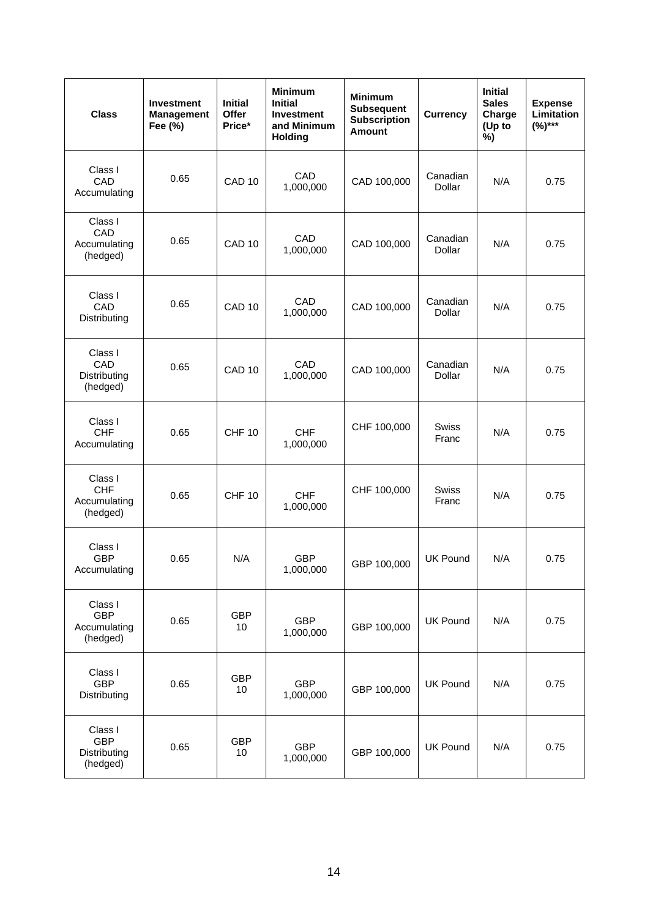| <b>Class</b>                                      | <b>Investment</b><br><b>Management</b><br>Fee (%) | <b>Initial</b><br>Offer<br>Price* | <b>Minimum</b><br><b>Initial</b><br><b>Investment</b><br>and Minimum<br><b>Holding</b> | <b>Minimum</b><br><b>Subsequent</b><br><b>Subscription</b><br><b>Amount</b> | <b>Currency</b>       | <b>Initial</b><br><b>Sales</b><br>Charge<br>(Up to<br>%) | <b>Expense</b><br>Limitation<br>$(%)***$ |
|---------------------------------------------------|---------------------------------------------------|-----------------------------------|----------------------------------------------------------------------------------------|-----------------------------------------------------------------------------|-----------------------|----------------------------------------------------------|------------------------------------------|
| Class I<br>CAD<br>Accumulating                    | 0.65                                              | CAD <sub>10</sub>                 | CAD<br>1,000,000                                                                       | CAD 100,000                                                                 | Canadian<br>Dollar    | N/A                                                      | 0.75                                     |
| Class I<br>CAD<br>Accumulating<br>(hedged)        | 0.65                                              | CAD <sub>10</sub>                 | CAD<br>1,000,000                                                                       | CAD 100,000                                                                 | Canadian<br>Dollar    | N/A                                                      | 0.75                                     |
| Class I<br>CAD<br>Distributing                    | 0.65                                              | CAD <sub>10</sub>                 | CAD<br>1,000,000                                                                       | CAD 100,000                                                                 | Canadian<br>Dollar    | N/A                                                      | 0.75                                     |
| Class I<br>CAD<br>Distributing<br>(hedged)        | 0.65                                              | CAD <sub>10</sub>                 | CAD<br>1,000,000                                                                       | CAD 100,000                                                                 | Canadian<br>Dollar    | N/A                                                      | 0.75                                     |
| Class I<br><b>CHF</b><br>Accumulating             | 0.65                                              | <b>CHF 10</b>                     | <b>CHF</b><br>1,000,000                                                                | CHF 100,000                                                                 | <b>Swiss</b><br>Franc | N/A                                                      | 0.75                                     |
| Class I<br><b>CHF</b><br>Accumulating<br>(hedged) | 0.65                                              | <b>CHF 10</b>                     | <b>CHF</b><br>1,000,000                                                                | CHF 100,000                                                                 | <b>Swiss</b><br>Franc | N/A                                                      | 0.75                                     |
| Class I<br><b>GBP</b><br>Accumulating             | 0.65                                              | N/A                               | <b>GBP</b><br>1,000,000                                                                | GBP 100,000                                                                 | <b>UK Pound</b>       | N/A                                                      | 0.75                                     |
| Class I<br><b>GBP</b><br>Accumulating<br>(hedged) | 0.65                                              | <b>GBP</b><br>10                  | <b>GBP</b><br>1,000,000                                                                | GBP 100,000                                                                 | <b>UK Pound</b>       | N/A                                                      | 0.75                                     |
| Class I<br>GBP<br>Distributing                    | 0.65                                              | <b>GBP</b><br>10                  | <b>GBP</b><br>1,000,000                                                                | GBP 100,000                                                                 | <b>UK Pound</b>       | N/A                                                      | 0.75                                     |
| Class I<br><b>GBP</b><br>Distributing<br>(hedged) | 0.65                                              | <b>GBP</b><br>10                  | <b>GBP</b><br>1,000,000                                                                | GBP 100,000                                                                 | <b>UK Pound</b>       | N/A                                                      | 0.75                                     |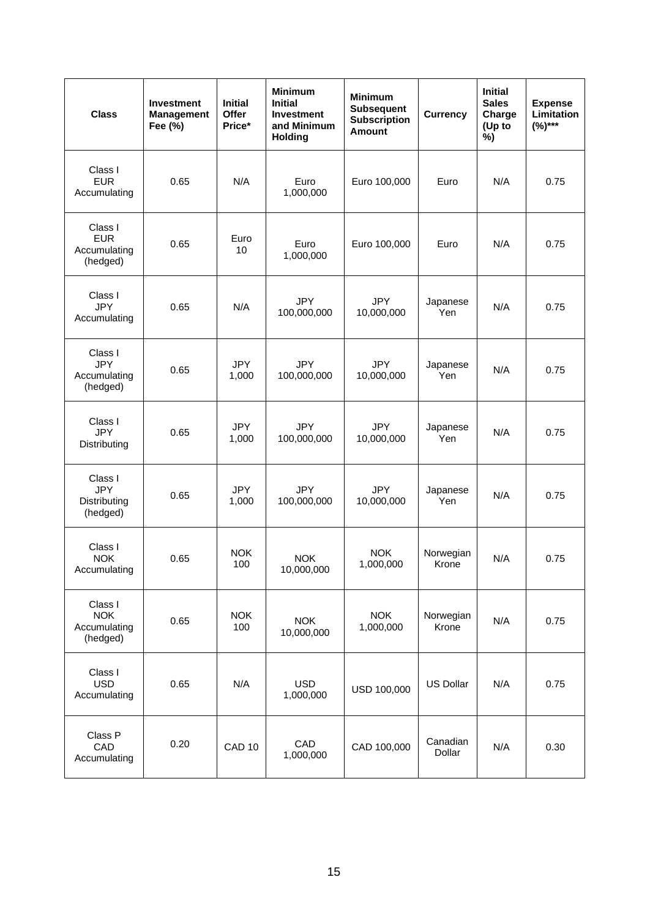| <b>Class</b>                                      | <b>Investment</b><br><b>Management</b><br>Fee (%) | <b>Initial</b><br>Offer<br>Price* | <b>Minimum</b><br><b>Initial</b><br><b>Investment</b><br>and Minimum<br><b>Holding</b> | <b>Minimum</b><br><b>Subsequent</b><br><b>Subscription</b><br><b>Amount</b> | <b>Currency</b>    | <b>Initial</b><br><b>Sales</b><br>Charge<br>(Up to<br>%) | <b>Expense</b><br>Limitation<br>$(%)***$ |
|---------------------------------------------------|---------------------------------------------------|-----------------------------------|----------------------------------------------------------------------------------------|-----------------------------------------------------------------------------|--------------------|----------------------------------------------------------|------------------------------------------|
| Class I<br><b>EUR</b><br>Accumulating             | 0.65                                              | N/A                               | Euro<br>1,000,000                                                                      | Euro 100,000                                                                | Euro               | N/A                                                      | 0.75                                     |
| Class I<br><b>EUR</b><br>Accumulating<br>(hedged) | 0.65                                              | Euro<br>10                        | Euro<br>1,000,000                                                                      | Euro 100,000                                                                | Euro               | N/A                                                      | 0.75                                     |
| Class I<br><b>JPY</b><br>Accumulating             | 0.65                                              | N/A                               | <b>JPY</b><br>100,000,000                                                              | <b>JPY</b><br>10,000,000                                                    | Japanese<br>Yen    | N/A                                                      | 0.75                                     |
| Class I<br><b>JPY</b><br>Accumulating<br>(hedged) | 0.65                                              | <b>JPY</b><br>1,000               | <b>JPY</b><br>100,000,000                                                              | <b>JPY</b><br>10,000,000                                                    | Japanese<br>Yen    | N/A                                                      | 0.75                                     |
| Class I<br><b>JPY</b><br>Distributing             | 0.65                                              | <b>JPY</b><br>1,000               | <b>JPY</b><br>100,000,000                                                              | <b>JPY</b><br>10,000,000                                                    | Japanese<br>Yen    | N/A                                                      | 0.75                                     |
| Class I<br><b>JPY</b><br>Distributing<br>(hedged) | 0.65                                              | <b>JPY</b><br>1,000               | <b>JPY</b><br>100,000,000                                                              | <b>JPY</b><br>10,000,000                                                    | Japanese<br>Yen    | N/A                                                      | 0.75                                     |
| Class I<br><b>NOK</b><br>Accumulating             | 0.65                                              | <b>NOK</b><br>100                 | <b>NOK</b><br>10,000,000                                                               | <b>NOK</b><br>1,000,000                                                     | Norwegian<br>Krone | N/A                                                      | 0.75                                     |
| Class I<br><b>NOK</b><br>Accumulating<br>(hedged) | 0.65                                              | <b>NOK</b><br>100                 | <b>NOK</b><br>10,000,000                                                               | <b>NOK</b><br>1,000,000                                                     | Norwegian<br>Krone | N/A                                                      | 0.75                                     |
| Class I<br><b>USD</b><br>Accumulating             | 0.65                                              | N/A                               | <b>USD</b><br>1,000,000                                                                | USD 100,000                                                                 | <b>US Dollar</b>   | N/A                                                      | 0.75                                     |
| Class P<br>CAD<br>Accumulating                    | 0.20                                              | CAD <sub>10</sub>                 | CAD<br>1,000,000                                                                       | CAD 100,000                                                                 | Canadian<br>Dollar | N/A                                                      | 0.30                                     |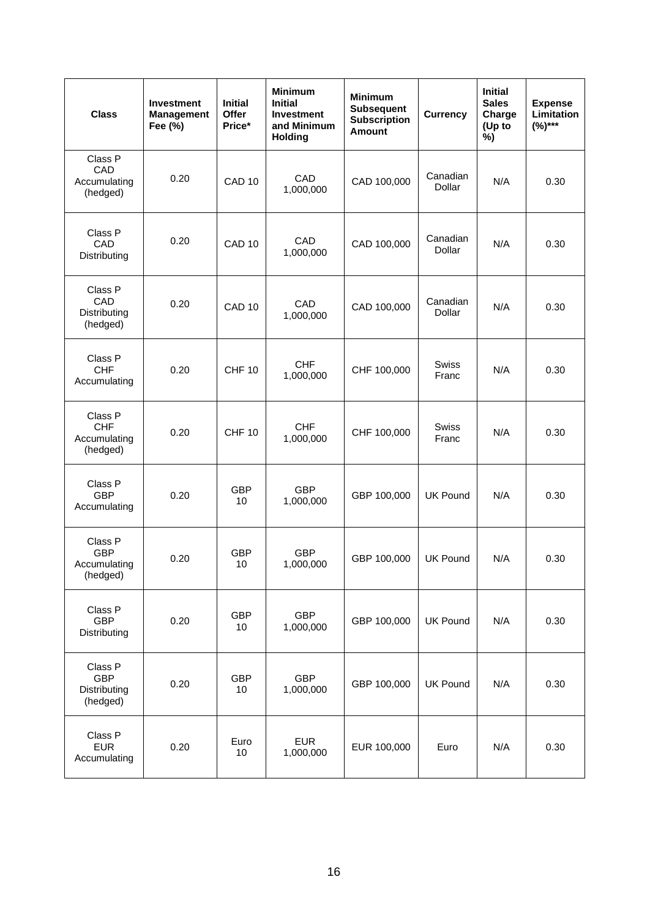| <b>Class</b>                                      | <b>Investment</b><br><b>Management</b><br>Fee (%) | <b>Initial</b><br>Offer<br>Price* | <b>Minimum</b><br><b>Initial</b><br><b>Investment</b><br>and Minimum<br><b>Holding</b> | <b>Minimum</b><br><b>Subsequent</b><br><b>Subscription</b><br><b>Amount</b> | <b>Currency</b>       | <b>Initial</b><br><b>Sales</b><br>Charge<br>(Up to<br>%) | <b>Expense</b><br><b>Limitation</b><br>$(%)***$ |
|---------------------------------------------------|---------------------------------------------------|-----------------------------------|----------------------------------------------------------------------------------------|-----------------------------------------------------------------------------|-----------------------|----------------------------------------------------------|-------------------------------------------------|
| Class P<br>CAD<br>Accumulating<br>(hedged)        | 0.20                                              | CAD <sub>10</sub>                 | CAD<br>1,000,000                                                                       | CAD 100,000                                                                 | Canadian<br>Dollar    | N/A                                                      | 0.30                                            |
| Class P<br>CAD<br>Distributing                    | 0.20                                              | CAD <sub>10</sub>                 | CAD<br>1,000,000                                                                       | CAD 100,000                                                                 | Canadian<br>Dollar    | N/A                                                      | 0.30                                            |
| Class P<br>CAD<br>Distributing<br>(hedged)        | 0.20                                              | CAD <sub>10</sub>                 | CAD<br>1,000,000                                                                       | CAD 100,000                                                                 | Canadian<br>Dollar    | N/A                                                      | 0.30                                            |
| Class P<br><b>CHF</b><br>Accumulating             | 0.20                                              | <b>CHF 10</b>                     | <b>CHF</b><br>1,000,000                                                                | CHF 100,000                                                                 | Swiss<br>Franc        | N/A                                                      | 0.30                                            |
| Class P<br><b>CHF</b><br>Accumulating<br>(hedged) | 0.20                                              | <b>CHF 10</b>                     | <b>CHF</b><br>1,000,000                                                                | CHF 100,000                                                                 | <b>Swiss</b><br>Franc | N/A                                                      | 0.30                                            |
| Class P<br><b>GBP</b><br>Accumulating             | 0.20                                              | <b>GBP</b><br>10                  | <b>GBP</b><br>1,000,000                                                                | GBP 100,000                                                                 | <b>UK Pound</b>       | N/A                                                      | 0.30                                            |
| Class P<br><b>GBP</b><br>Accumulating<br>(hedged) | 0.20                                              | <b>GBP</b><br>10                  | <b>GBP</b><br>1,000,000                                                                | GBP 100,000                                                                 | <b>UK Pound</b>       | N/A                                                      | 0.30                                            |
| Class P<br><b>GBP</b><br>Distributing             | 0.20                                              | GBP<br>10                         | <b>GBP</b><br>1,000,000                                                                | GBP 100,000                                                                 | <b>UK Pound</b>       | N/A                                                      | 0.30                                            |
| Class P<br><b>GBP</b><br>Distributing<br>(hedged) | 0.20                                              | <b>GBP</b><br>10                  | <b>GBP</b><br>1,000,000                                                                | GBP 100,000                                                                 | <b>UK Pound</b>       | N/A                                                      | 0.30                                            |
| Class P<br><b>EUR</b><br>Accumulating             | 0.20                                              | Euro<br>10                        | <b>EUR</b><br>1,000,000                                                                | EUR 100,000                                                                 | Euro                  | N/A                                                      | 0.30                                            |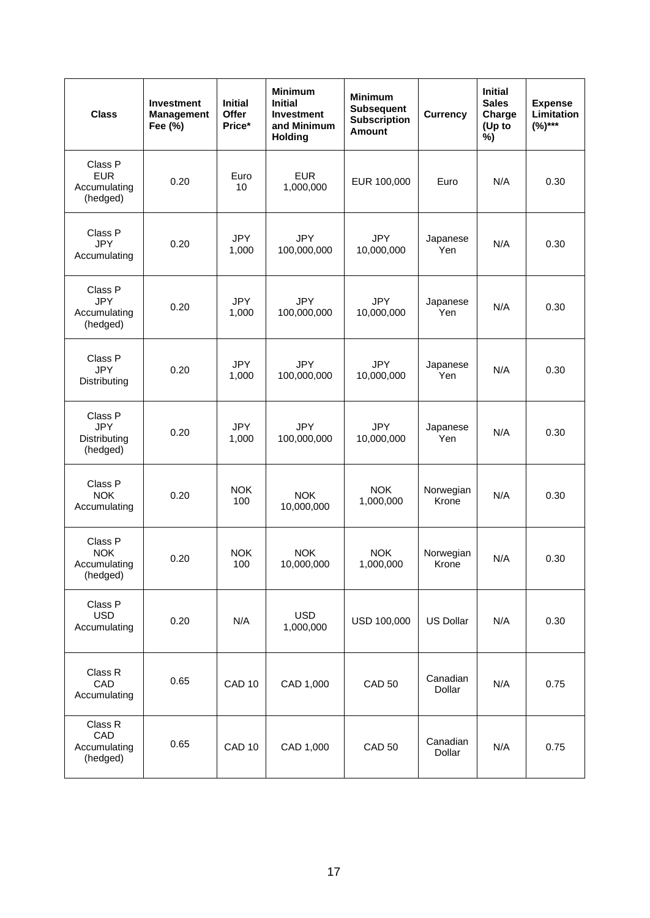| <b>Class</b>                                      | <b>Investment</b><br><b>Management</b><br>Fee (%) | <b>Initial</b><br>Offer<br>Price* | <b>Minimum</b><br><b>Initial</b><br><b>Investment</b><br>and Minimum<br><b>Holding</b> | <b>Minimum</b><br><b>Subsequent</b><br><b>Subscription</b><br><b>Amount</b> | <b>Currency</b>    | <b>Initial</b><br><b>Sales</b><br>Charge<br>(Up to<br>%) | <b>Expense</b><br><b>Limitation</b><br>$(%)***$ |
|---------------------------------------------------|---------------------------------------------------|-----------------------------------|----------------------------------------------------------------------------------------|-----------------------------------------------------------------------------|--------------------|----------------------------------------------------------|-------------------------------------------------|
| Class P<br><b>EUR</b><br>Accumulating<br>(hedged) | 0.20                                              | Euro<br>10                        | <b>EUR</b><br>1,000,000                                                                | EUR 100,000                                                                 | Euro               | N/A                                                      | 0.30                                            |
| Class P<br><b>JPY</b><br>Accumulating             | 0.20                                              | <b>JPY</b><br>1,000               | <b>JPY</b><br>100,000,000                                                              | <b>JPY</b><br>10,000,000                                                    | Japanese<br>Yen    | N/A                                                      | 0.30                                            |
| Class P<br><b>JPY</b><br>Accumulating<br>(hedged) | 0.20                                              | <b>JPY</b><br>1,000               | <b>JPY</b><br>100,000,000                                                              | <b>JPY</b><br>10,000,000                                                    | Japanese<br>Yen    | N/A                                                      | 0.30                                            |
| Class P<br><b>JPY</b><br>Distributing             | 0.20                                              | <b>JPY</b><br>1,000               | <b>JPY</b><br>100,000,000                                                              | <b>JPY</b><br>10,000,000                                                    | Japanese<br>Yen    | N/A                                                      | 0.30                                            |
| Class P<br><b>JPY</b><br>Distributing<br>(hedged) | 0.20                                              | <b>JPY</b><br>1,000               | <b>JPY</b><br>100,000,000                                                              | <b>JPY</b><br>10,000,000                                                    | Japanese<br>Yen    | N/A                                                      | 0.30                                            |
| Class P<br><b>NOK</b><br>Accumulating             | 0.20                                              | <b>NOK</b><br>100                 | <b>NOK</b><br>10,000,000                                                               | <b>NOK</b><br>1,000,000                                                     | Norwegian<br>Krone | N/A                                                      | 0.30                                            |
| Class P<br><b>NOK</b><br>Accumulating<br>(hedged) | 0.20                                              | <b>NOK</b><br>100                 | <b>NOK</b><br>10,000,000                                                               | <b>NOK</b><br>1,000,000                                                     | Norwegian<br>Krone | N/A                                                      | 0.30                                            |
| Class P<br><b>USD</b><br>Accumulating             | 0.20                                              | N/A                               | <b>USD</b><br>1,000,000                                                                | USD 100,000                                                                 | <b>US Dollar</b>   | N/A                                                      | 0.30                                            |
| Class R<br>CAD<br>Accumulating                    | 0.65                                              | CAD <sub>10</sub>                 | CAD 1,000                                                                              | <b>CAD 50</b>                                                               | Canadian<br>Dollar | N/A                                                      | 0.75                                            |
| Class R<br>CAD<br>Accumulating<br>(hedged)        | 0.65                                              | CAD <sub>10</sub>                 | CAD 1,000                                                                              | <b>CAD 50</b>                                                               | Canadian<br>Dollar | N/A                                                      | 0.75                                            |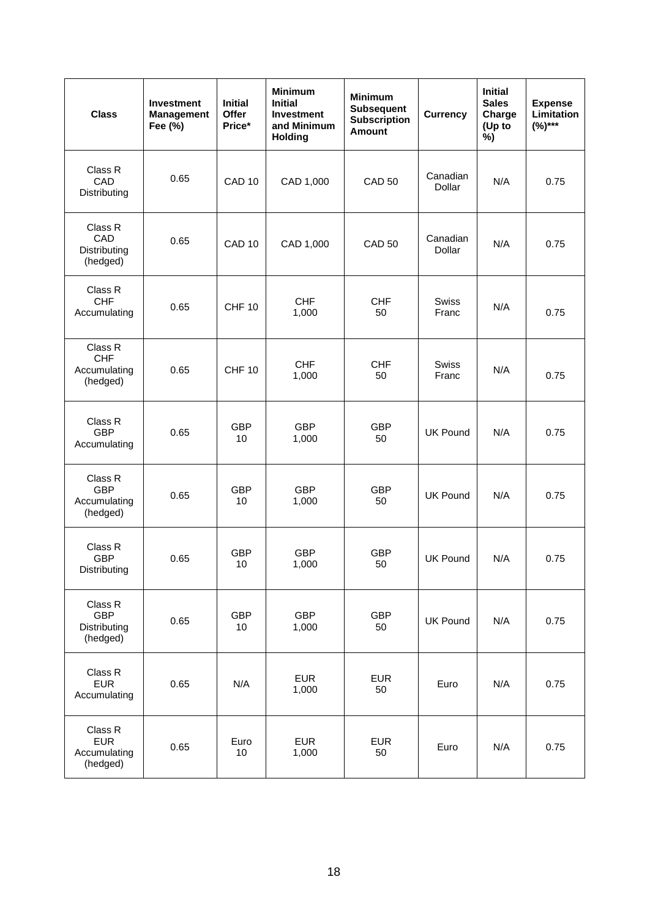| <b>Class</b>                                      | <b>Investment</b><br><b>Management</b><br>Fee (%) | <b>Initial</b><br>Offer<br>Price* | <b>Minimum</b><br><b>Initial</b><br><b>Investment</b><br>and Minimum<br><b>Holding</b> | <b>Minimum</b><br><b>Subsequent</b><br><b>Subscription</b><br><b>Amount</b> | <b>Currency</b>           | <b>Initial</b><br><b>Sales</b><br>Charge<br>(Up to<br>%) | <b>Expense</b><br><b>Limitation</b><br>$(%)***$ |
|---------------------------------------------------|---------------------------------------------------|-----------------------------------|----------------------------------------------------------------------------------------|-----------------------------------------------------------------------------|---------------------------|----------------------------------------------------------|-------------------------------------------------|
| Class R<br>CAD<br>Distributing                    | 0.65                                              | CAD <sub>10</sub>                 | CAD 1,000                                                                              | <b>CAD 50</b>                                                               | Canadian<br>Dollar        | N/A                                                      | 0.75                                            |
| Class R<br>CAD<br>Distributing<br>(hedged)        | 0.65                                              | CAD <sub>10</sub>                 | CAD 1,000                                                                              | <b>CAD 50</b>                                                               | Canadian<br><b>Dollar</b> | N/A                                                      | 0.75                                            |
| Class R<br><b>CHF</b><br>Accumulating             | 0.65                                              | <b>CHF 10</b>                     | <b>CHF</b><br>1,000                                                                    | <b>CHF</b><br>50                                                            | <b>Swiss</b><br>Franc     | N/A                                                      | 0.75                                            |
| Class R<br><b>CHF</b><br>Accumulating<br>(hedged) | 0.65                                              | <b>CHF 10</b>                     | <b>CHF</b><br>1,000                                                                    | <b>CHF</b><br>50                                                            | <b>Swiss</b><br>Franc     | N/A                                                      | 0.75                                            |
| Class R<br><b>GBP</b><br>Accumulating             | 0.65                                              | <b>GBP</b><br>10                  | <b>GBP</b><br>1,000                                                                    | <b>GBP</b><br>50                                                            | <b>UK Pound</b>           | N/A                                                      | 0.75                                            |
| Class R<br><b>GBP</b><br>Accumulating<br>(hedged) | 0.65                                              | <b>GBP</b><br>10                  | <b>GBP</b><br>1,000                                                                    | <b>GBP</b><br>50                                                            | <b>UK Pound</b>           | N/A                                                      | 0.75                                            |
| Class R<br><b>GBP</b><br>Distributing             | 0.65                                              | <b>GBP</b><br>$10$                | <b>GBP</b><br>1,000                                                                    | <b>GBP</b><br>50                                                            | <b>UK Pound</b>           | N/A                                                      | 0.75                                            |
| Class R<br><b>GBP</b><br>Distributing<br>(hedged) | 0.65                                              | <b>GBP</b><br>10                  | <b>GBP</b><br>1,000                                                                    | <b>GBP</b><br>50                                                            | <b>UK Pound</b>           | N/A                                                      | 0.75                                            |
| Class R<br><b>EUR</b><br>Accumulating             | 0.65                                              | N/A                               | <b>EUR</b><br>1,000                                                                    | <b>EUR</b><br>50                                                            | Euro                      | N/A                                                      | 0.75                                            |
| Class R<br><b>EUR</b><br>Accumulating<br>(hedged) | 0.65                                              | Euro<br>10                        | <b>EUR</b><br>1,000                                                                    | <b>EUR</b><br>50                                                            | Euro                      | N/A                                                      | 0.75                                            |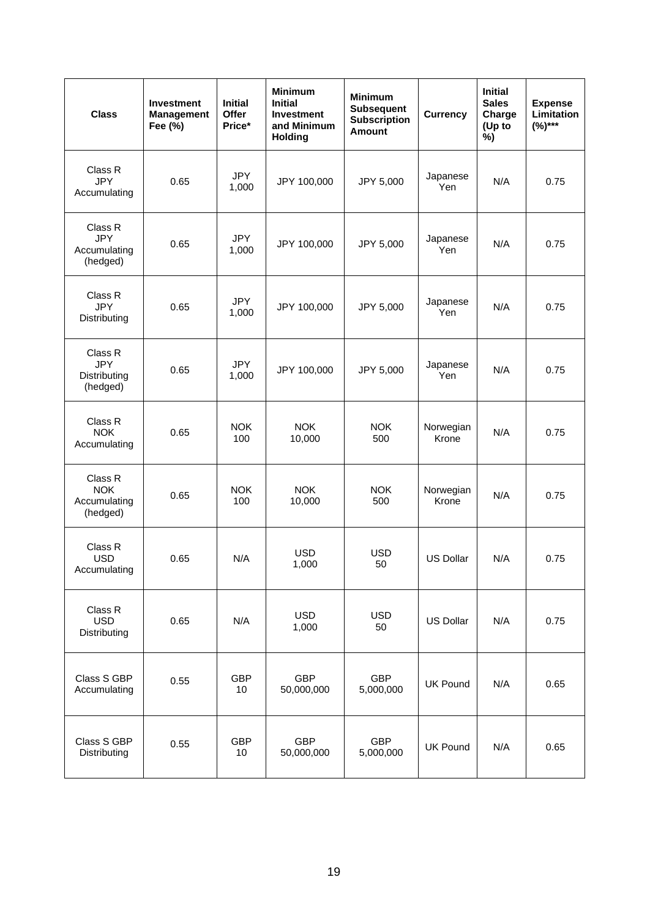| <b>Class</b>                                      | <b>Investment</b><br><b>Management</b><br>Fee (%) | <b>Initial</b><br>Offer<br>Price* | <b>Minimum</b><br><b>Initial</b><br><b>Investment</b><br>and Minimum<br><b>Holding</b> | <b>Minimum</b><br><b>Subsequent</b><br><b>Subscription</b><br><b>Amount</b> | <b>Currency</b>    | <b>Initial</b><br><b>Sales</b><br>Charge<br>(Up to<br>%) | <b>Expense</b><br>Limitation<br>$(%)***$ |
|---------------------------------------------------|---------------------------------------------------|-----------------------------------|----------------------------------------------------------------------------------------|-----------------------------------------------------------------------------|--------------------|----------------------------------------------------------|------------------------------------------|
| Class R<br><b>JPY</b><br>Accumulating             | 0.65                                              | <b>JPY</b><br>1,000               | JPY 100,000                                                                            | JPY 5,000                                                                   | Japanese<br>Yen    | N/A                                                      | 0.75                                     |
| Class R<br><b>JPY</b><br>Accumulating<br>(hedged) | 0.65                                              | <b>JPY</b><br>1,000               | JPY 100,000                                                                            | JPY 5,000                                                                   | Japanese<br>Yen    | N/A                                                      | 0.75                                     |
| Class R<br><b>JPY</b><br>Distributing             | 0.65                                              | <b>JPY</b><br>1,000               | JPY 100,000                                                                            | JPY 5,000                                                                   | Japanese<br>Yen    | N/A                                                      | 0.75                                     |
| Class R<br><b>JPY</b><br>Distributing<br>(hedged) | 0.65                                              | <b>JPY</b><br>1,000               | JPY 100,000                                                                            | JPY 5,000                                                                   | Japanese<br>Yen    | N/A                                                      | 0.75                                     |
| Class R<br><b>NOK</b><br>Accumulating             | 0.65                                              | <b>NOK</b><br>100                 | <b>NOK</b><br>10,000                                                                   | <b>NOK</b><br>500                                                           | Norwegian<br>Krone | N/A                                                      | 0.75                                     |
| Class R<br><b>NOK</b><br>Accumulating<br>(hedged) | 0.65                                              | <b>NOK</b><br>100                 | <b>NOK</b><br>10,000                                                                   | <b>NOK</b><br>500                                                           | Norwegian<br>Krone | N/A                                                      | 0.75                                     |
| Class R<br><b>USD</b><br>Accumulating             | 0.65                                              | N/A                               | <b>USD</b><br>1,000                                                                    | <b>USD</b><br>50                                                            | <b>US Dollar</b>   | N/A                                                      | 0.75                                     |
| Class R<br><b>USD</b><br>Distributing             | 0.65                                              | N/A                               | <b>USD</b><br>1,000                                                                    | <b>USD</b><br>50                                                            | <b>US Dollar</b>   | N/A                                                      | 0.75                                     |
| Class S GBP<br>Accumulating                       | 0.55                                              | <b>GBP</b><br>10                  | <b>GBP</b><br>50,000,000                                                               | <b>GBP</b><br>5,000,000                                                     | <b>UK Pound</b>    | N/A                                                      | 0.65                                     |
| Class S GBP<br>Distributing                       | 0.55                                              | <b>GBP</b><br>10                  | <b>GBP</b><br>50,000,000                                                               | <b>GBP</b><br>5,000,000                                                     | <b>UK Pound</b>    | N/A                                                      | 0.65                                     |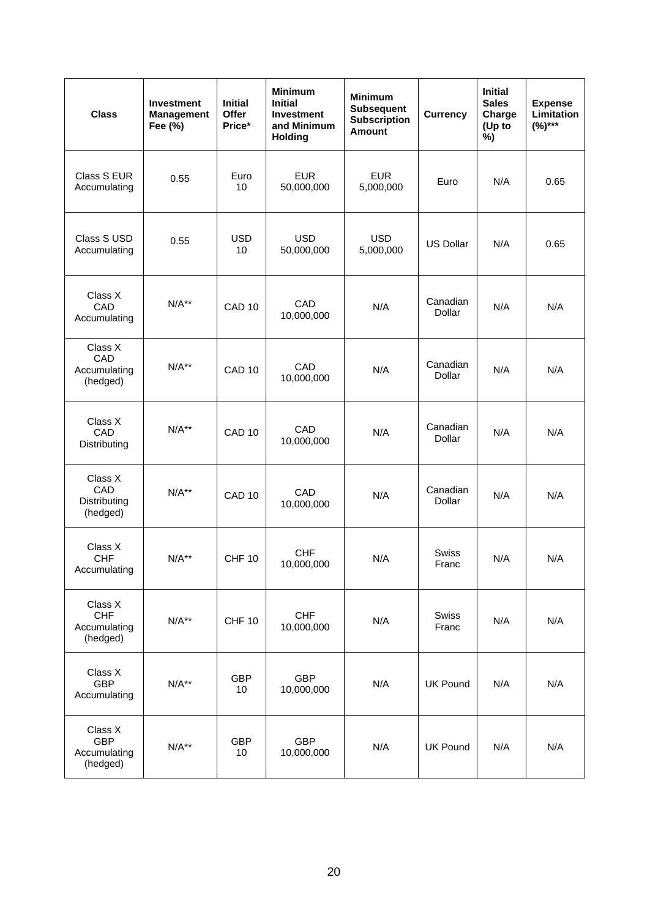| <b>Class</b>                                      | <b>Investment</b><br><b>Management</b><br>Fee (%) | <b>Initial</b><br>Offer<br>Price* | <b>Minimum</b><br><b>Initial</b><br><b>Investment</b><br>and Minimum<br><b>Holding</b> | <b>Minimum</b><br><b>Subsequent</b><br><b>Subscription</b><br><b>Amount</b> | <b>Currency</b>       | <b>Initial</b><br><b>Sales</b><br>Charge<br>(Up to<br>%) | <b>Expense</b><br><b>Limitation</b><br>$(%)***$ |
|---------------------------------------------------|---------------------------------------------------|-----------------------------------|----------------------------------------------------------------------------------------|-----------------------------------------------------------------------------|-----------------------|----------------------------------------------------------|-------------------------------------------------|
| Class S EUR<br>Accumulating                       | 0.55                                              | Euro<br>10                        | <b>EUR</b><br>50,000,000                                                               | <b>EUR</b><br>5,000,000                                                     | Euro                  | N/A                                                      | 0.65                                            |
| Class S USD<br>Accumulating                       | 0.55                                              | <b>USD</b><br>10                  | <b>USD</b><br>50,000,000                                                               | <b>USD</b><br>5,000,000                                                     | <b>US Dollar</b>      | N/A                                                      | 0.65                                            |
| Class X<br>CAD<br>Accumulating                    | $N/A**$                                           | CAD <sub>10</sub>                 | CAD<br>10,000,000                                                                      | N/A                                                                         | Canadian<br>Dollar    | N/A                                                      | N/A                                             |
| Class X<br>CAD<br>Accumulating<br>(hedged)        | $N/A**$                                           | CAD <sub>10</sub>                 | CAD<br>10,000,000                                                                      | N/A                                                                         | Canadian<br>Dollar    | N/A                                                      | N/A                                             |
| Class X<br>CAD<br>Distributing                    | $N/A**$                                           | CAD <sub>10</sub>                 | CAD<br>10,000,000                                                                      | N/A                                                                         | Canadian<br>Dollar    | N/A                                                      | N/A                                             |
| Class X<br>CAD<br>Distributing<br>(hedged)        | $N/A**$                                           | CAD <sub>10</sub>                 | CAD<br>10,000,000                                                                      | N/A                                                                         | Canadian<br>Dollar    | N/A                                                      | N/A                                             |
| Class X<br><b>CHF</b><br>Accumulating             | $N/A**$                                           | CHF <sub>10</sub>                 | <b>CHF</b><br>10,000,000                                                               | N/A                                                                         | <b>Swiss</b><br>Franc | N/A                                                      | N/A                                             |
| Class X<br><b>CHF</b><br>Accumulating<br>(hedged) | $N/A**$                                           | <b>CHF 10</b>                     | <b>CHF</b><br>10,000,000                                                               | N/A                                                                         | Swiss<br>Franc        | N/A                                                      | N/A                                             |
| Class X<br><b>GBP</b><br>Accumulating             | $N/A**$                                           | <b>GBP</b><br>10                  | <b>GBP</b><br>10,000,000                                                               | N/A                                                                         | <b>UK Pound</b>       | N/A                                                      | N/A                                             |
| Class X<br><b>GBP</b><br>Accumulating<br>(hedged) | $N/A**$                                           | <b>GBP</b><br>10                  | <b>GBP</b><br>10,000,000                                                               | N/A                                                                         | <b>UK Pound</b>       | N/A                                                      | N/A                                             |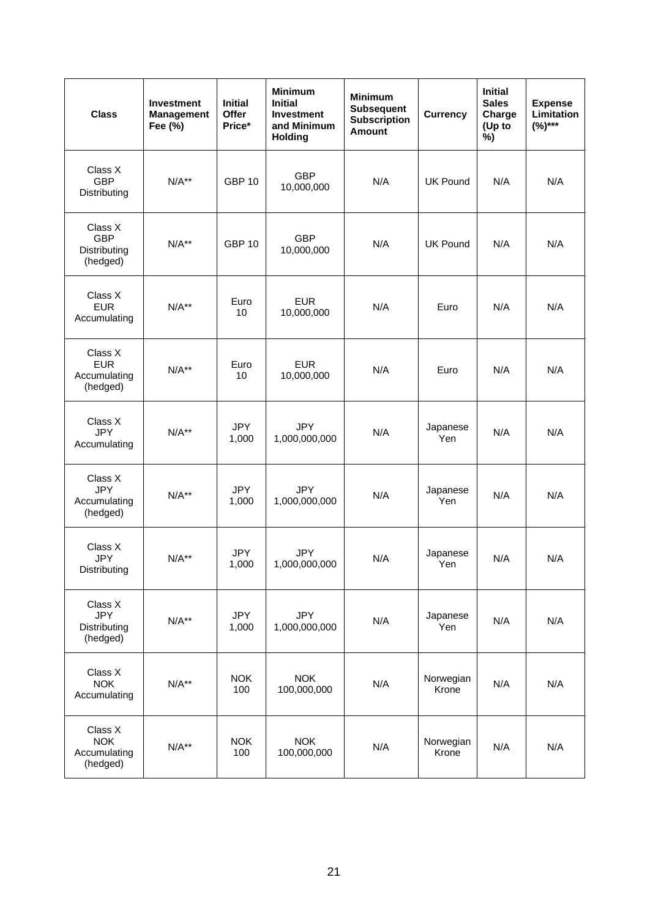| <b>Class</b>                                      | <b>Investment</b><br><b>Management</b><br>Fee (%) | <b>Initial</b><br>Offer<br>Price* | <b>Minimum</b><br><b>Initial</b><br><b>Investment</b><br>and Minimum<br><b>Holding</b> | <b>Minimum</b><br><b>Subsequent</b><br><b>Subscription</b><br><b>Amount</b> | <b>Currency</b>    | <b>Initial</b><br><b>Sales</b><br>Charge<br>(Up to<br>%) | <b>Expense</b><br>Limitation<br>$(%)***$ |
|---------------------------------------------------|---------------------------------------------------|-----------------------------------|----------------------------------------------------------------------------------------|-----------------------------------------------------------------------------|--------------------|----------------------------------------------------------|------------------------------------------|
| Class X<br><b>GBP</b><br>Distributing             | $N/A**$                                           | <b>GBP 10</b>                     | <b>GBP</b><br>10,000,000                                                               | N/A                                                                         | <b>UK Pound</b>    | N/A                                                      | N/A                                      |
| Class X<br><b>GBP</b><br>Distributing<br>(hedged) | $N/A**$                                           | <b>GBP 10</b>                     | <b>GBP</b><br>10,000,000                                                               | N/A                                                                         | <b>UK Pound</b>    | N/A                                                      | N/A                                      |
| Class X<br><b>EUR</b><br>Accumulating             | $N/A**$                                           | Euro<br>10                        | <b>EUR</b><br>10,000,000                                                               | N/A                                                                         | Euro               | N/A                                                      | N/A                                      |
| Class X<br><b>EUR</b><br>Accumulating<br>(hedged) | $N/A**$                                           | Euro<br>10                        | <b>EUR</b><br>10,000,000                                                               | N/A                                                                         | Euro               | N/A                                                      | N/A                                      |
| Class X<br><b>JPY</b><br>Accumulating             | $N/A**$                                           | <b>JPY</b><br>1,000               | <b>JPY</b><br>1,000,000,000                                                            | N/A                                                                         | Japanese<br>Yen    | N/A                                                      | N/A                                      |
| Class X<br><b>JPY</b><br>Accumulating<br>(hedged) | $N/A**$                                           | <b>JPY</b><br>1,000               | <b>JPY</b><br>1,000,000,000                                                            | N/A                                                                         | Japanese<br>Yen    | N/A                                                      | N/A                                      |
| Class X<br><b>JPY</b><br>Distributing             | $N/A**$                                           | <b>JPY</b><br>1,000               | <b>JPY</b><br>1,000,000,000                                                            | N/A                                                                         | Japanese<br>Yen    | N/A                                                      | N/A                                      |
| Class X<br><b>JPY</b><br>Distributing<br>(hedged) | $N/A**$                                           | <b>JPY</b><br>1,000               | <b>JPY</b><br>1,000,000,000                                                            | N/A                                                                         | Japanese<br>Yen    | N/A                                                      | N/A                                      |
| Class X<br><b>NOK</b><br>Accumulating             | $N/A**$                                           | <b>NOK</b><br>100                 | <b>NOK</b><br>100,000,000                                                              | N/A                                                                         | Norwegian<br>Krone | N/A                                                      | N/A                                      |
| Class X<br><b>NOK</b><br>Accumulating<br>(hedged) | $N/A**$                                           | <b>NOK</b><br>100                 | <b>NOK</b><br>100,000,000                                                              | N/A                                                                         | Norwegian<br>Krone | N/A                                                      | N/A                                      |